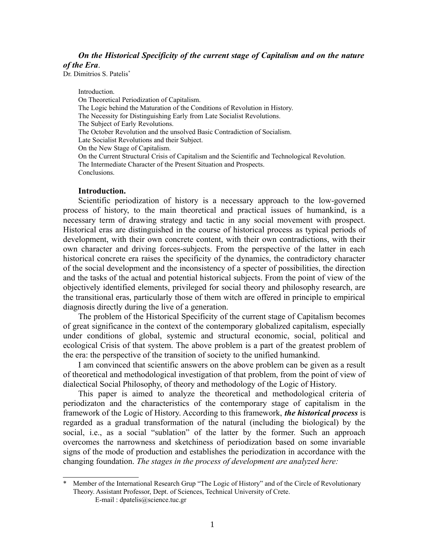# *On the Historical Specificity of the current stage of Capitalism and on the nature of the Era*.

Dr. Dimitrios S. Patelis<sup>[\\*](#page-0-0)</sup>

Introduction.

On Theoretical Periodization of Capitalism. The Logic behind the Maturation of the Conditions of Revolution in History. The Necessity for Distinguishing Early from Late Socialist Revolutions. The Subject of Early Revolutions. The October Revolution and the unsolved Basic Contradiction of Socialism. Late Socialist Revolutions and their Subject. On the New Stage of Capitalism. On the Current Structural Crisis of Capitalism and the Scientific and Technological Revolution. The Intermediate Character of the Present Situation and Prospects. Conclusions.

#### **Introduction.**

Scientific periodization of history is a necessary approach to the low-governed process of history, to the main theoretical and practical issues of humankind, is a necessary term of drawing strategy and tactic in any social movement with prospect. Historical eras are distinguished in the course of historical process as typical periods of development, with their own concrete content, with their own contradictions, with their own character and driving forces-subjects. From the perspective of the latter in each historical concrete era raises the specificity of the dynamics, the contradictory character of the social development and the inconsistency of a specter of possibilities, the direction and the tasks of the actual and potential historical subjects. From the point of view of the objectively identified elements, privileged for social theory and philosophy research, are the transitional eras, particularly those of them witch are offered in principle to empirical diagnosis directly during the live of a generation.

The problem of the Historical Specificity of the current stage of Capitalism becomes of great significance in the context of the contemporary globalized capitalism, especially under conditions of global, systemic and structural economic, social, political and ecological Crisis of that system. The above problem is a part of the greatest problem of the era: the perspective of the transition of society to the unified humankind.

I am convinced that scientific answers on the above problem can be given as a result of theoretical and methodological investigation of that problem, from the point of view of dialectical Social Philosophy, of theory and methodology of the Logic of History.

This paper is aimed to analyze the theoretical and methodological criteria of periodizaton and the characteristics of the contemporary stage of capitalism in the framework of the Logic of History. According to this framework, *the historical process* is regarded as a gradual transformation of the natural (including the biological) by the social, i.e., as a social "sublation" of the latter by the former. Such an approach overcomes the narrowness and sketchiness of periodization based on some invariable signs of the mode of production and establishes the periodization in accordance with the changing foundation. *The stages in the process of development are analyzed here:*

<span id="page-0-0"></span>Member of the International Research Grup "The Logic of History" and of the Circle of Revolutionary Theory. Assistant Professor, Dept. of Sciences, Technical University of Crete.

E-mail : dpatelis@science.tuc.gr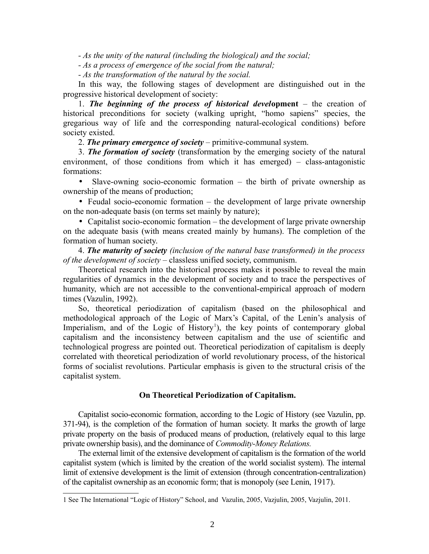*- As the unity of the natural (including the biological) and the social;*

*- As a process of emergence of the social from the natural;*

*- As the transformation of the natural by the social.*

In this way, the following stages of development are distinguished out in the progressive historical development of society:

1. *The beginning of the process of historical devel***opment** – the creation of historical preconditions for society (walking upright, "homo sapiens" species, the gregarious way of life and the corresponding natural-ecological conditions) before society existed.

2. *The primary emergence of society* – primitive-communal system.

3. *The formation of society* (transformation by the emerging society of the natural environment, of those conditions from which it has emerged) – class-antagonistic formations:

• Slave-owning socio-economic formation – the birth of private ownership as ownership of the means of production;

• Feudal socio-economic formation – the development of large private ownership on the non-adequate basis (on terms set mainly by nature);

• Capitalist socio-economic formation – the development of large private ownership on the adequate basis (with means created mainly by humans). The completion of the formation of human society.

4. *The maturity of society (inclusion of the natural base transformed) in the process of the development of society* – classless unified society, communism.

Theoretical research into the historical process makes it possible to reveal the main regularities of dynamics in the development of society and to trace the perspectives of humanity, which are not accessible to the conventional-empirical approach of modern times (Vazulin, 1992).

So, theoretical periodization of capitalism (based on the philosophical and methodological approach of the Logic of Marx's Capital, of the Lenin's analysis of Imperialism, and of the Logic of History<sup>[1](#page-1-0)</sup>), the key points of contemporary global capitalism and the inconsistency between capitalism and the use of scientific and technological progress are pointed out. Theoretical periodization of capitalism is deeply correlated with theoretical periodization of world revolutionary process, of the historical forms of socialist revolutions. Particular emphasis is given to the structural crisis of the capitalist system.

#### **On Theoretical Periodization of Capitalism.**

Capitalist socio-economic formation, according to the Logic of History (see Vazulin, pp. 371-94), is the completion of the formation of human society. It marks the growth of large private property on the basis of produced means of production, (relatively equal to this large private ownership basis), and the dominance of *Commodity-Money Relations.*

The external limit of the extensive development of capitalism is the formation of the world capitalist system (which is limited by the creation of the world socialist system). The internal limit of extensive development is the limit of extension (through concentration-centralization) of the capitalist ownership as an economic form; that is monopoly (see Lenin, 1917).

<span id="page-1-0"></span><sup>1</sup> See The International "Logic of History" School, and Vazulin, 2005, Vazjulin, 2005, Vazjulin, 2011.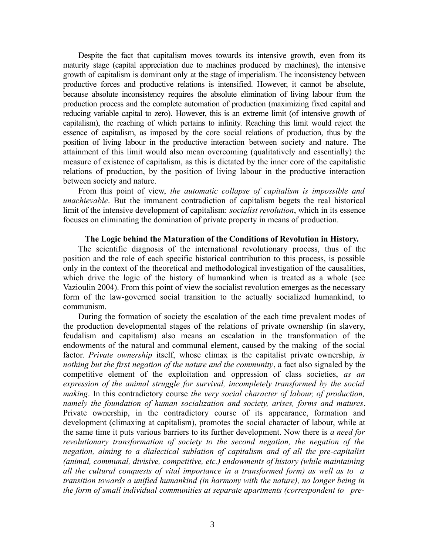Despite the fact that capitalism moves towards its intensive growth, even from its maturity stage (capital appreciation due to machines produced by machines), the intensive growth of capitalism is dominant only at the stage of imperialism. The inconsistency between productive forces and productive relations is intensified. However, it cannot be absolute, because absolute inconsistency requires the absolute elimination of living labour from the production process and the complete automation of production (maximizing fixed capital and reducing variable capital to zero). However, this is an extreme limit (of intensive growth of capitalism), the reaching of which pertains to infinity. Reaching this limit would reject the essence of capitalism, as imposed by the core social relations of production, thus by the position of living labour in the productive interaction between society and nature. The attainment of this limit would also mean overcoming (qualitatively and essentially) the measure of existence of capitalism, as this is dictated by the inner core of the capitalistic relations of production, by the position of living labour in the productive interaction between society and nature.

From this point of view, *the automatic collapse of capitalism is impossible and unachievable*. But the immanent contradiction of capitalism begets the real historical limit of the intensive development of capitalism: *socialist revolution*, which in its essence focuses on eliminating the domination of private property in means of production.

#### **The Logic behind the Maturation of the Conditions of Revolution in History.**

The scientific diagnosis of the international revolutionary process, thus of the position and the role of each specific historical contribution to this process, is possible only in the context of the theoretical and methodological investigation of the causalities, which drive the logic of the history of humankind when is treated as a whole (see Vazioulin 2004). From this point of view the socialist revolution emerges as the necessary form of the law-governed social transition to the actually socialized humankind, to communism.

During the formation of society the escalation of the each time prevalent modes of the production developmental stages of the relations of private ownership (in slavery, feudalism and capitalism) also means an escalation in the transformation of the endowments of the natural and communal element, caused by the making of the social factor. *Private ownership* itself, whose climax is the capitalist private ownership, *is nothing but the first negation of the nature and the community*, a fact also signaled by the competitive element of the exploitation and oppression of class societies, *as an expression of the animal struggle for survival, incompletely transformed by the social making*. In this contradictory course *the very social character of labour, of production, namely the foundation of human socialization and society, arises, forms and matures*. Private ownership, in the contradictory course of its appearance, formation and development (climaxing at capitalism), promotes the social character of labour, while at the same time it puts various barriers to its further development. Now there is *a need for revolutionary transformation of society to the second negation, the negation of the negation, aiming to a dialectical sublation of capitalism and of all the pre-capitalist (animal, communal, divisive, competitive, etc.) endowments of history (while maintaining all the cultural conquests of vital importance in a transformed form) as well as to a transition towards a unified humankind (in harmony with the nature), no longer being in the form of small individual communities at separate apartments (correspondent to pre-*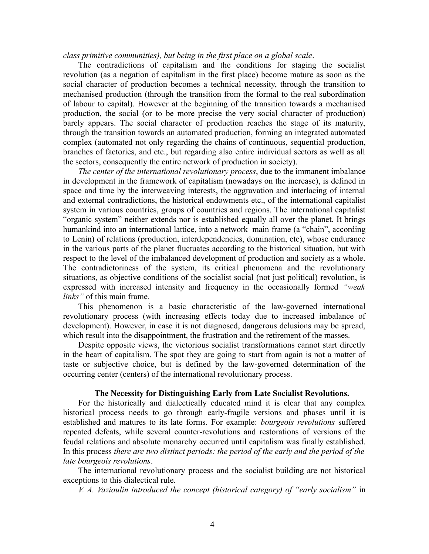*class primitive communities), but being in the first place on a global scale*.

The contradictions of capitalism and the conditions for staging the socialist revolution (as a negation of capitalism in the first place) become mature as soon as the social character of production becomes a technical necessity, through the transition to mechanised production (through the transition from the formal to the real subordination of labour to capital). However at the beginning of the transition towards a mechanised production, the social (or to be more precise the very social character of production) barely appears. The social character of production reaches the stage of its maturity, through the transition towards an automated production, forming an integrated automated complex (automated not only regarding the chains of continuous, sequential production, branches of factories, and etc., but regarding also entire individual sectors as well as all the sectors, consequently the entire network of production in society).

*The center of the international revolutionary process*, due to the immanent imbalance in development in the framework of capitalism (nowadays on the increase), is defined in space and time by the interweaving interests, the aggravation and interlacing of internal and external contradictions, the historical endowments etc., of the international capitalist system in various countries, groups of countries and regions. The international capitalist "organic system" neither extends nor is established equally all over the planet. It brings humankind into an international lattice, into a network–main frame (a "chain", according to Lenin) of relations (production, interdependencies, domination, etc), whose endurance in the various parts of the planet fluctuates according to the historical situation, but with respect to the level of the imbalanced development of production and society as a whole. The contradictoriness of the system, its critical phenomena and the revolutionary situations, as objective conditions of the socialist social (not just political) revolution, is expressed with increased intensity and frequency in the occasionally formed *"weak links"* of this main frame.

Τhis phenomenon is a basic characteristic of the law-governed international revolutionary process (with increasing effects today due to increased imbalance of development). However, in case it is not diagnosed, dangerous delusions may be spread, which result into the disappointment, the frustration and the retirement of the masses.

Despite opposite views, the victorious socialist transformations cannot start directly in the heart of capitalism. The spot they are going to start from again is not a matter of taste or subjective choice, but is defined by the law-governed determination of the occurring center (centers) of the international revolutionary process.

#### **The Necessity for Distinguishing Early from Late Socialist Revolutions.**

For the historically and dialectically educated mind it is clear that any complex historical process needs to go through early-fragile versions and phases until it is established and matures to its late forms. For example: *bourgeois revolutions* suffered repeated defeats, while several counter-revolutions and restorations of versions of the feudal relations and absolute monarchy occurred until capitalism was finally established. In this process *there are two distinct periods: the period of the early and the period of the late bourgeois revolutions*.

The international revolutionary process and the socialist building are not historical exceptions to this dialectical rule.

*V. A. Vazioulin introduced the concept (historical category) of "early socialism"* in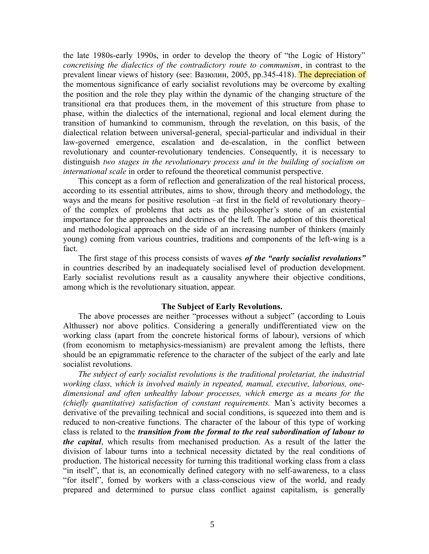the late 1980s-early 1990s, in order to develop the theory of "the Logic of History" *concretising the dialectics of the contradictory route to communism*, in contrast to the prevalent linear views of history (see: Вазюлин, 2005, pp.345-418). The depreciation of the momentous significance of early socialist revolutions may be overcome by exalting the position and the role they play within the dynamic of the changing structure of the transitional era that produces them, in the movement of this structure from phase to phase, within the dialectics of the international, regional and local element during the transition of humankind to communism, through the revelation, on this basis, of the dialectical relation between universal-general, special-particular and individual in their law-governed emergence, escalation and de-escalation, in the conflict between revolutionary and counter-revolutionary tendencies. Consequently, it is necessary to distinguish *two stages in the revolutionary process and in the building of socialism on international scale* in order to refound the theoretical communist perspective.

This concept as a form of reflection and generalization of the real historical process, according to its essential attributes, aims to show, through theory and methodology, the ways and the means for positive resolution –at first in the field of revolutionary theory– of the complex of problems that acts as the philosopher's stone of an existential importance for the approaches and doctrines of the left. The adoption of this theoretical and methodological approach on the side of an increasing number of thinkers (mainly young) coming from various countries, traditions and components of the left-wing is a fact.

Τhe first stage of this process consists of waves *of the "early socialist revolutions"*  in countries described by an inadequately socialised level of production development. Early socialist revolutions result as a causality anywhere their objective conditions, among which is the revolutionary situation, appear.

#### **The Subject of Early Revolutions.**

The above processes are neither "processes without a subject" (according to Louis Althusser) nor above politics. Considering a generally undifferentiated view on the working class (apart from the concrete historical forms of labour), versions of which (from economism to metaphysics-messianism) are prevalent among the leftists, there should be an epigrammatic reference to the character of the subject of the early and late socialist revolutions.

*The subject of early socialist revolutions is the traditional proletariat, the industrial working class, which is involved mainly in repeated, manual, executive, laborious, onedimensional and often unhealthy labour processes, which emerge as a means for the (chiefly quantitative) satisfaction of constant requirements.* Man's activity becomes a derivative of the prevailing technical and social conditions, is squeezed into them and is reduced to non-creative functions. The character of the labour of this type of working class is related to the *transition from the formal to the real subordination of labour to the capital*, which results from mechanised production. As a result of the latter the division of labour turns into a technical necessity dictated by the real conditions of production. The historical necessity for turning this traditional working class from a class "in itself", that is, an economically defined category with no self-awareness, to a class "for itself", fomed by workers with a class-conscious view of the world, and ready prepared and determined to pursue class conflict against capitalism, is generally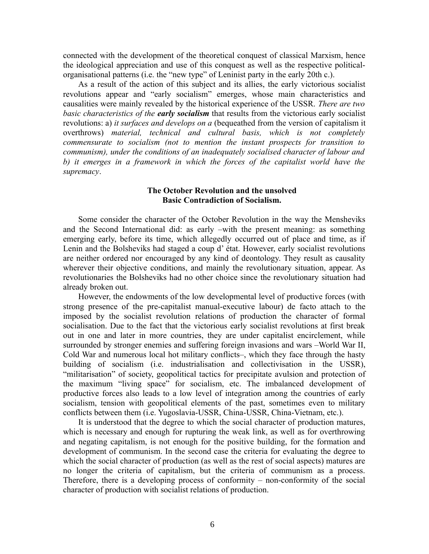connected with the development of the theoretical conquest of classical Marxism, hence the ideological appreciation and use of this conquest as well as the respective politicalorganisational patterns (i.e. the "new type" of Leninist party in the early 20th c.).

As a result of the action of this subject and its allies, the early victorious socialist revolutions appear and "early socialism" emerges, whose main characteristics and causalities were mainly revealed by the historical experience of the USSR. *There are two basic characteristics of the early socialism* that results from the victorious early socialist revolutions: a) *it surfaces and develops on a* (bequeathed from the version of capitalism it overthrows) *material, technical and cultural basis, which is not completely commensurate to socialism (not to mention the instant prospects for transition to communism), under the conditions of an inadequately socialised character of labour and b) it emerges in a framework in which the forces of the capitalist world have the supremacy*.

### **The October Revolution and the unsolved Basic Contradiction of Socialism.**

Some consider the character of the October Revolution in the way the Mensheviks and the Second International did: as early –with the present meaning: as something emerging early, before its time, which allegedly occurred out of place and time, as if Lenin and the Bolsheviks had staged a coup d' état. However, early socialist revolutions are neither ordered nor encouraged by any kind of deontology. They result as causality wherever their objective conditions, and mainly the revolutionary situation, appear. As revolutionaries the Bolsheviks had no other choice since the revolutionary situation had already broken out.

However, the endowments of the low developmental level of productive forces (with strong presence of the pre-capitalist manual-executive labour) de facto attach to the imposed by the socialist revolution relations of production the character of formal socialisation. Due to the fact that the victorious early socialist revolutions at first break out in one and later in more countries, they are under capitalist encirclement, while surrounded by stronger enemies and suffering foreign invasions and wars –World War II, Cold War and numerous local hot military conflicts–, which they face through the hasty building of socialism (i.e. industrialisation and collectivisation in the USSR), "militarisation" of society, geopolitical tactics for precipitate avulsion and protection of the maximum "living space" for socialism, etc. The imbalanced development of productive forces also leads to a low level of integration among the countries of early socialism, tension with geopolitical elements of the past, sometimes even to military conflicts between them (i.e. Yugoslavia-USSR, China-USSR, China-Vietnam, etc.).

It is understood that the degree to which the social character of production matures, which is necessary and enough for rupturing the weak link, as well as for overthrowing and negating capitalism, is not enough for the positive building, for the formation and development of communism. In the second case the criteria for evaluating the degree to which the social character of production (as well as the rest of social aspects) matures are no longer the criteria of capitalism, but the criteria of communism as a process. Therefore, there is a developing process of conformity – non-conformity of the social character of production with socialist relations of production.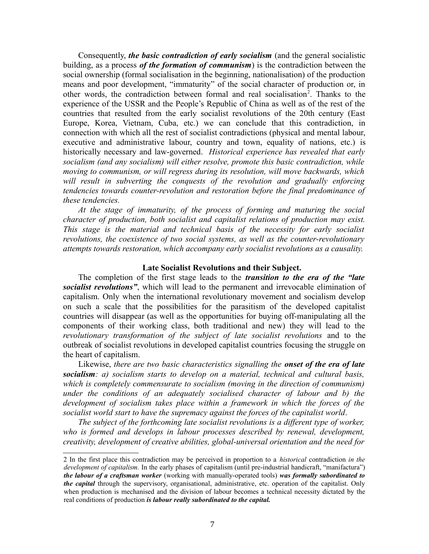Consequently, *the basic contradiction of early socialism* (and the general socialistic building, as a process *of the formation of communism*) is the contradiction between the social ownership (formal socialisation in the beginning, nationalisation) of the production means and poor development, "immaturity" of the social character of production or, in other words, the contradiction between formal and real socialisation<sup>[2](#page-6-0)</sup>. Thanks to the experience of the USSR and the People's Republic of China as well as of the rest of the countries that resulted from the early socialist revolutions of the 20th century (East Europe, Korea, Vietnam, Cuba, etc.) we can conclude that this contradiction, in connection with which all the rest of socialist contradictions (physical and mental labour, executive and administrative labour, country and town, equality of nations, etc.) is historically necessary and law-governed. *Historical experience has revealed that early socialism (and any socialism) will either resolve, promote this basic contradiction, while moving to communism, or will regress during its resolution, will move backwards, which*  will result in subverting the conquests of the revolution and gradually enforcing *tendencies towards counter-revolution and restoration before the final predominance of these tendencies.*

*At the stage of immaturity, of the process of forming and maturing the social character of production, both socialist and capitalist relations of production may exist. Τhis stage is the material and technical basis of the necessity for early socialist revolutions, the coexistence of two social systems, as well as the counter-revolutionary attempts towards restoration, which accompany early socialist revolutions as a causality.*

#### **Late Socialist Revolutions and their Subject.**

The completion of the first stage leads to the *transition to the era of the "late socialist revolutions"*, which will lead to the permanent and irrevocable elimination of capitalism. Only when the international revolutionary movement and socialism develop on such a scale that the possibilities for the parasitism of the developed capitalist countries will disappear (as well as the opportunities for buying off-manipulating all the components of their working class, both traditional and new) they will lead to the *revolutionary transformation of the subject of late socialist revolutions* and to the outbreak of socialist revolutions in developed capitalist countries focusing the struggle on the heart of capitalism.

Likewise, *there are two basic characteristics signalling the onset of the era of late socialism: a) socialism starts to develop on a material, technical and cultural basis, which is completely commensurate to socialism (moving in the direction of communism) under the conditions of an adequately socialised character of labour and b) the development of socialism takes place within a framework in which the forces of the socialist world start to have the supremacy against the forces of the capitalist world*.

*The subject of the forthcoming late socialist revolutions is a different type of worker,*  who is formed and develops in labour processes described by renewal, development, *creativity, development of creative abilities, global-universal orientation and the need for* 

<span id="page-6-0"></span><sup>2</sup> In the first place this contradiction may be perceived in proportion to a *historical* contradiction *in the development of capitalism.* In the early phases of capitalism (until pre-industrial handicraft, "manifactura") *the labour of a craftsman worker* (working with manually-operated tools) *was formally subordinated to the capital* through the supervisory, organisational, administrative, etc. operation of the capitalist. Only when production is mechanised and the division of labour becomes a technical necessity dictated by the real conditions of production *is labour really subordinated to the capital.*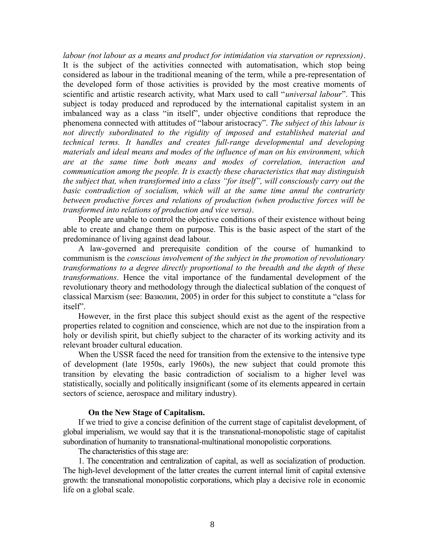*labour (not labour as a means and product for intimidation via starvation or repression)*. It is the subject of the activities connected with automatisation, which stop being considered as labour in the traditional meaning of the term, while a pre-representation of the developed form of those activities is provided by the most creative moments of scientific and artistic research activity, what Marx used to call "*universal labour*". Τhis subject is today produced and reproduced by the international capitalist system in an imbalanced way as a class "in itself", under objective conditions that reproduce the phenomena connected with attitudes of "labour aristocracy". *Τhe subject of this labour is not directly subordinated to the rigidity of imposed and established material and technical terms. It handles and creates full-range developmental and developing materials and ideal means and modes of the influence of man on his environment, which are at the same time both means and modes of correlation, interaction and communication among the people. It is exactly these characteristics that may distinguish the subject that, when transformed into a class "for itself", will consciously carry out the*  basic contradiction of socialism, which will at the same time annul the contrariety *between productive forces and relations of production (when productive forces will be transformed into relations of production and vice versa)*.

People are unable to control the objective conditions of their existence without being able to create and change them on purpose. This is the basic aspect of the start of the predominance of living against dead labour.

A law-governed and prerequisite condition of the course of humankind to communism is the *conscious involvement of the subject in the promotion of revolutionary transformations to a degree directly proportional to the breadth and the depth of these transformations*. Hence the vital importance of the fundamental development of the revolutionary theory and methodology through the dialectical sublation of the conquest of classical Marxism (see: Вазюлин, 2005) in order for this subject to constitute a "class for itself".

However, in the first place this subject should exist as the agent of the respective properties related to cognition and conscience, which are not due to the inspiration from a holy or devilish spirit, but chiefly subject to the character of its working activity and its relevant broader cultural education.

When the USSR faced the need for transition from the extensive to the intensive type of development (late 1950s, early 1960s), the new subject that could promote this transition by elevating the basic contradiction of socialism to a higher level was statistically, socially and politically insignificant (some of its elements appeared in certain sectors of science, aerospace and military industry).

#### **On the New Stage of Capitalism.**

If we tried to give a concise definition of the current stage of capitalist development, of global imperialism, we would say that it is the transnational-monopolistic stage of capitalist subordination of humanity to transnational-multinational monopolistic corporations.

The characteristics of this stage are:

1. The concentration and centralization of capital, as well as socialization of production. The high-level development of the latter creates the current internal limit of capital extensive growth: the transnational monopolistic corporations, which play a decisive role in economic life on a global scale.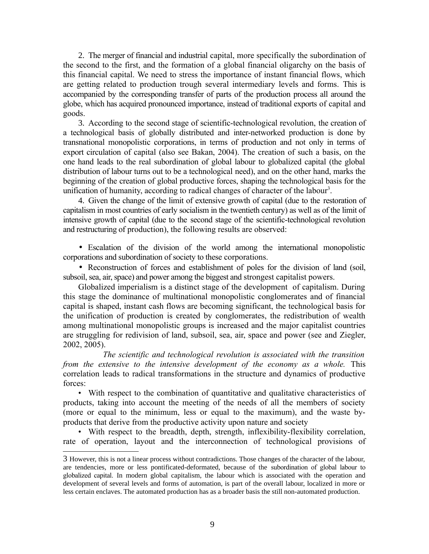2. The merger of financial and industrial capital, more specifically the subordination of the second to the first, and the formation of a global financial oligarchy on the basis of this financial capital. We need to stress the importance of instant financial flows, which are getting related to production trough several intermediary levels and forms. This is accompanied by the corresponding transfer of parts of the production process all around the globe, which has acquired pronounced importance, instead of traditional exports of capital and goods.

3. According to the second stage of scientific-technological revolution, the creation of a technological basis of globally distributed and inter-networked production is done by transnational monopolistic corporations, in terms of production and not only in terms of export circulation of capital (also see Bakan, 2004). The creation of such a basis, on the one hand leads to the real subordination of global labour to globalized capital (the global distribution of labour turns out to be a technological need), and on the other hand, marks the beginning of the creation of global productive forces, shaping the technological basis for the unification of humanity, according to radical changes of character of the labour<sup>[3](#page-8-0)</sup>.

4. Given the change of the limit of extensive growth of capital (due to the restoration of capitalism in most countries of early socialism in the twentieth century) as well as of the limit of intensive growth of capital (due to the second stage of the scientific-technological revolution and restructuring of production), the following results are observed:

• Escalation of the division of the world among the international monopolistic corporations and subordination of society to these corporations.

• Reconstruction of forces and establishment of poles for the division of land (soil, subsoil, sea, air, space) and power among the biggest and strongest capitalist powers.

Globalized imperialism is a distinct stage of the development of capitalism. During this stage the dominance of multinational monopolistic conglomerates and of financial capital is shaped, instant cash flows are becoming significant, the technological basis for the unification of production is created by conglomerates, the redistribution of wealth among multinational monopolistic groups is increased and the major capitalist countries are struggling for redivision of land, subsoil, sea, air, space and power (see and Ziegler, 2002, 2005).

 *The scientific and technological revolution is associated with the transition from the extensive to the intensive development of the economy as a whole. This* correlation leads to radical transformations in the structure and dynamics of productive forces:

• With respect to the combination of quantitative and qualitative characteristics of products, taking into account the meeting of the needs of all the members of society (more or equal to the minimum, less or equal to the maximum), and the waste byproducts that derive from the productive activity upon nature and society

• With respect to the breadth, depth, strength, inflexibility-flexibility correlation, rate of operation, layout and the interconnection of technological provisions of

<span id="page-8-0"></span><sup>3</sup> However, this is not a linear process without contradictions. Those changes of the character of the labour, are tendencies, more or less pontificated-deformated, because of the subordination of global labour to globalized capital. In modern global capitalism, the labour which is associated with the operation and development of several levels and forms of automation, is part of the overall labour, localized in more or less certain enclaves. The automated production has as a broader basis the still non-automated production.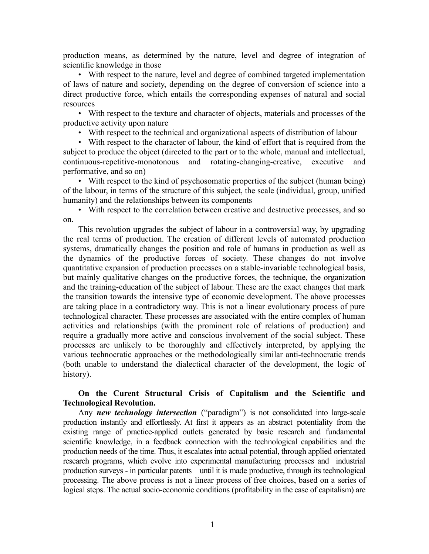production means, as determined by the nature, level and degree of integration of scientific knowledge in those

• With respect to the nature, level and degree of combined targeted implementation of laws of nature and society, depending on the degree of conversion of science into a direct productive force, which entails the corresponding expenses of natural and social resources

• With respect to the texture and character of objects, materials and processes of the productive activity upon nature

• With respect to the technical and organizational aspects of distribution of labour

• With respect to the character of labour, the kind of effort that is required from the subject to produce the object (directed to the part or to the whole, manual and intellectual, continuous-repetitive-monotonous and rotating-changing-creative, executive and performative, and so on)

• With respect to the kind of psychosomatic properties of the subject (human being) of the labour, in terms of the structure of this subject, the scale (individual, group, unified humanity) and the relationships between its components

• With respect to the correlation between creative and destructive processes, and so on.

This revolution upgrades the subject of labour in a controversial way, by upgrading the real terms of production. The creation of different levels of automated production systems, dramatically changes the position and role of humans in production as well as the dynamics of the productive forces of society. These changes do not involve quantitative expansion of production processes on a stable-invariable technological basis, but mainly qualitative changes on the productive forces, the technique, the organization and the training-education of the subject of labour. These are the exact changes that mark the transition towards the intensive type of economic development. The above processes are taking place in a contradictory way. This is not a linear evolutionary process of pure technological character. These processes are associated with the entire complex of human activities and relationships (with the prominent role of relations of production) and require a gradually more active and conscious involvement of the social subject. These processes are unlikely to be thoroughly and effectively interpreted, by applying the various technocratic approaches or the methodologically similar anti-technocratic trends (both unable to understand the dialectical character of the development, the logic of history).

## **On the Curent Structural Crisis of Capitalism and the Scientific and Technological Revolution.**

Any *new technology intersection* ("paradigm") is not consolidated into large-scale production instantly and effortlessly. At first it appears as an abstract potentiality from the existing range of practice-applied outlets generated by basic research and fundamental scientific knowledge, in a feedback connection with the technological capabilities and the production needs of the time. Thus, it escalates into actual potential, through applied orientated research programs, which evolve into experimental manufacturing processes and industrial production surveys - in particular patents – until it is made productive, through its technological processing. The above process is not a linear process of free choices, based on a series of logical steps. The actual socio-economic conditions (profitability in the case of capitalism) are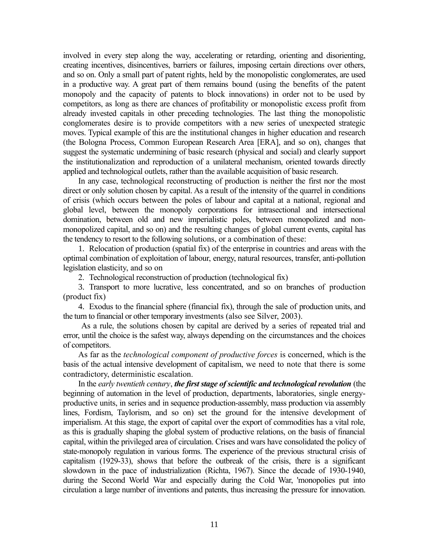involved in every step along the way, accelerating or retarding, orienting and disorienting, creating incentives, disincentives, barriers or failures, imposing certain directions over others, and so on. Only a small part of patent rights, held by the monopolistic conglomerates, are used in a productive way. A great part of them remains bound (using the benefits of the patent monopoly and the capacity of patents to block innovations) in order not to be used by competitors, as long as there are chances of profitability or monopolistic excess profit from already invested capitals in other preceding technologies. The last thing the monopolistic conglomerates desire is to provide competitors with a new series of unexpected strategic moves. Typical example of this are the institutional changes in higher education and research (the Bologna Process, Common European Research Area [ERA], and so on), changes that suggest the systematic undermining of basic research (physical and social) and clearly support the institutionalization and reproduction of a unilateral mechanism, oriented towards directly applied and technological outlets, rather than the available acquisition of basic research.

In any case, technological reconstructing of production is neither the first nor the most direct or only solution chosen by capital. As a result of the intensity of the quarrel in conditions of crisis (which occurs between the poles of labour and capital at a national, regional and global level, between the monopoly corporations for intrasectional and intersectional domination, between old and new imperialistic poles, between monopolized and nonmonopolized capital, and so on) and the resulting changes of global current events, capital has the tendency to resort to the following solutions, or a combination of these:

1. Relocation of production (spatial fix) of the enterprise in countries and areas with the optimal combination of exploitation of labour, energy, natural resources, transfer, anti-pollution legislation elasticity, and so on

2. Technological reconstruction of production (technological fix)

3. Transport to more lucrative, less concentrated, and so on branches of production (product fix)

4. Exodus to the financial sphere (financial fix), through the sale of production units, and the turn to financial or other temporary investments (also see Silver, 2003).

As a rule, the solutions chosen by capital are derived by a series of repeated trial and error, until the choice is the safest way, always depending on the circumstances and the choices of competitors.

As far as the *technological component of productive forces* is concerned, which is the basis of the actual intensive development of capitalism, we need to note that there is some contradictory, deterministic escalation.

In the *early twentieth century*, *the first stage of scientific and technological revolution* (the beginning of automation in the level of production, departments, laboratories, single energyproductive units, in series and in sequence production-assembly, mass production via assembly lines, Fordism, Taylorism, and so on) set the ground for the intensive development of imperialism. At this stage, the export of capital over the export of commodities has a vital role, as this is gradually shaping the global system of productive relations, on the basis of financial capital, within the privileged area of circulation. Crises and wars have consolidated the policy of state-monopoly regulation in various forms. The experience of the previous structural crisis of capitalism (1929-33), shows that before the outbreak of the crisis, there is a significant slowdown in the pace of industrialization (Richta, 1967). Since the decade of 1930-1940, during the Second World War and especially during the Cold War, 'monopolies put into circulation a large number of inventions and patents, thus increasing the pressure for innovation.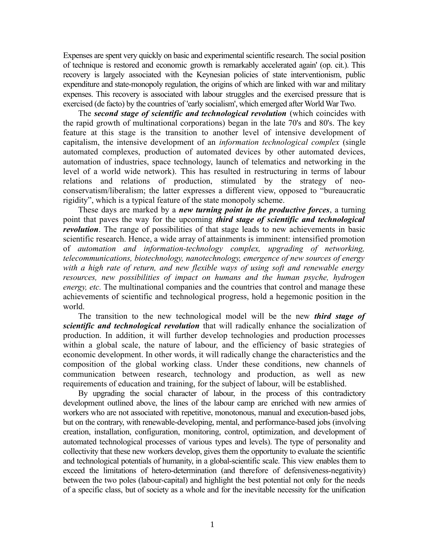Expenses are spent very quickly on basic and experimental scientific research. The social position of technique is restored and economic growth is remarkably accelerated again' (op. cit.). This recovery is largely associated with the Keynesian policies of state interventionism, public expenditure and state-monopoly regulation, the origins of which are linked with war and military expenses. This recovery is associated with labour struggles and the exercised pressure that is exercised (de facto) by the countries of 'early socialism', which emerged after World War Two.

The *second stage of scientific and technological revolution* (which coincides with the rapid growth of multinational corporations) began in the late 70's and 80's. The key feature at this stage is the transition to another level of intensive development of capitalism, the intensive development of an *information technological complex* (single automated complexes, production of automated devices by other automated devices, automation of industries, space technology, launch of telematics and networking in the level of a world wide network). This has resulted in restructuring in terms of labour relations and relations of production, stimulated by the strategy of neoconservatism/liberalism; the latter expresses a different view, opposed to "bureaucratic rigidity", which is a typical feature of the state monopoly scheme.

These days are marked by a *new turning point in the productive forces*, a turning point that paves the way for the upcoming *third stage of scientific and technological revolution*. The range of possibilities of that stage leads to new achievements in basic scientific research. Hence, a wide array of attainments is imminent: intensified promotion of *automation and information-technology complex, upgrading of networking, telecommunications, biotechnology, nanotechnology, emergence of new sources of energy with a high rate of return, and new flexible ways of using soft and renewable energy resources, new possibilities of impact on humans and the human psyche, hydrogen energy, etc.* The multinational companies and the countries that control and manage these achievements of scientific and technological progress, hold a hegemonic position in the world.

The transition to the new technological model will be the new *third stage of scientific and technological revolution* that will radically enhance the socialization of production. In addition, it will further develop technologies and production processes within a global scale, the nature of labour, and the efficiency of basic strategies of economic development. In other words, it will radically change the characteristics and the composition of the global working class. Under these conditions, new channels of communication between research, technology and production, as well as new requirements of education and training, for the subject of labour, will be established.

By upgrading the social character of labour, in the process of this contradictory development outlined above, the lines of the labour camp are enriched with new armies of workers who are not associated with repetitive, monotonous, manual and execution-based jobs, but on the contrary, with renewable-developing, mental, and performance-based jobs (involving creation, installation, configuration, monitoring, control, optimization, and development of automated technological processes of various types and levels). The type of personality and collectivity that these new workers develop, gives them the opportunity to evaluate the scientific and technological potentials of humanity, in a global-scientific scale. This view enables them to exceed the limitations of hetero-determination (and therefore of defensiveness-negativity) between the two poles (labour-capital) and highlight the best potential not only for the needs of a specific class, but of society as a whole and for the inevitable necessity for the unification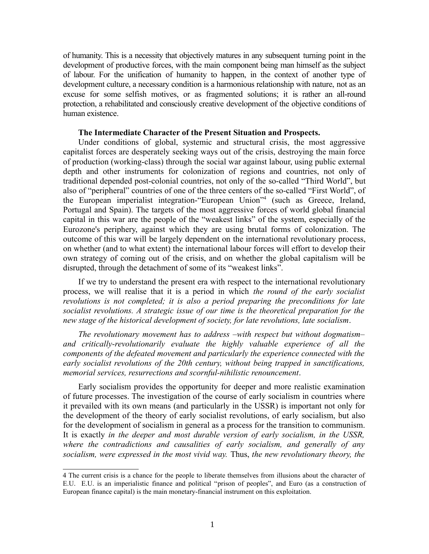of humanity. This is a necessity that objectively matures in any subsequent turning point in the development of productive forces, with the main component being man himself as the subject of labour. For the unification of humanity to happen, in the context of another type of development culture, a necessary condition is a harmonious relationship with nature, not as an excuse for some selfish motives, or as fragmented solutions; it is rather an all-round protection, a rehabilitated and consciously creative development of the objective conditions of human existence.

#### **The Intermediate Character of the Present Situation and Prospects.**

Under conditions of global, systemic and structural crisis, the most aggressive capitalist forces are desperately seeking ways out of the crisis, destroying the main force of production (working-class) through the social war against labour, using public external depth and other instruments for colonization of regions and countries, not only of traditional depended post-colonial countries, not only of the so-called "Third World", but also of "peripheral" countries of one of the three centers of the so-called "First World", of the European imperialist integration-"European Union"[4](#page-12-0) (such as Greece, Ireland, Portugal and Spain). The targets of the most aggressive forces of world global financial capital in this war are the people of the "weakest links" of the system, especially of the Eurozone's periphery, against which they are using brutal forms of colonization. The outcome of this war will be largely dependent on the international revolutionary process, on whether (and to what extent) the international labour forces will effort to develop their own strategy of coming out of the crisis, and on whether the global capitalism will be disrupted, through the detachment of some of its "weakest links".

If we try to understand the present era with respect to the international revolutionary process, we will realise that it is a period in which *the round of the early socialist revolutions is not completed; it is also a period preparing the preconditions for late socialist revolutions. A strategic issue of our time is the theoretical preparation for the new stage of the historical development of society, for late revolutions, late socialism*.

*The revolutionary movement has to address –with respect but without dogmatism– and critically-revolutionarily evaluate the highly valuable experience of all the components of the defeated movement and particularly the experience connected with the early socialist revolutions of the 20th century, without being trapped in sanctifications, memorial services, resurrections and scornful-nihilistic renouncement*.

Early socialism provides the opportunity for deeper and more realistic examination of future processes. The investigation of the course of early socialism in countries where it prevailed with its own means (and particularly in the USSR) is important not only for the development of the theory of early socialist revolutions, of early socialism, but also for the development of socialism in general as a process for the transition to communism. It is exactly *in the deeper and most durable version of early socialism, in the USSR, where the contradictions and causalities of early socialism, and generally of any socialism, were expressed in the most vivid way.* Thus, *the new revolutionary theory, the* 

<span id="page-12-0"></span><sup>4</sup> The current crisis is a chance for the people to liberate themselves from illusions about the character of E.U. E.U. is an imperialistic finance and political "prison of peoples", and Euro (as a construction of European finance capital) is the main monetary-financial instrument on this exploitation.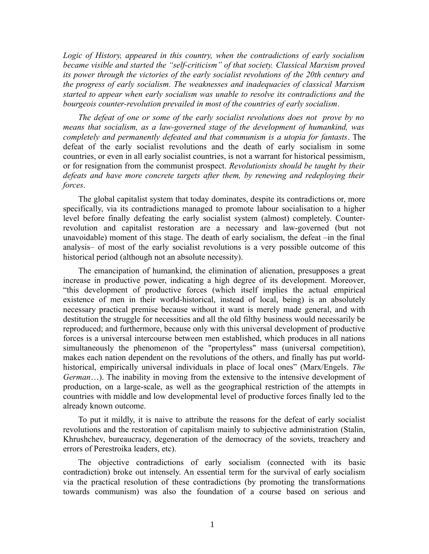*Logic of History, appeared in this country, when the contradictions of early socialism became visible and started the "self-criticism" of that society. Classical Marxism proved its power through the victories of the early socialist revolutions of the 20th century and the progress of early socialism. The weaknesses and inadequacies of classical Marxism started to appear when early socialism was unable to resolve its contradictions and the bourgeois counter-revolution prevailed in most of the countries of early socialism*.

*The defeat of one or some of the early socialist revolutions does not prove by no means that socialism, as a law-governed stage of the development of humankind, was completely and permanently defeated and that communism is a utopia for fantasts*. The defeat of the early socialist revolutions and the death of early socialism in some countries, or even in all early socialist countries, is not a warrant for historical pessimism, or for resignation from the communist prospect. *Revolutionists should be taught by their*  defeats and have more concrete targets after them, by renewing and redeploying their *forces*.

The global capitalist system that today dominates, despite its contradictions or, more specifically, via its contradictions managed to promote labour socialisation to a higher level before finally defeating the early socialist system (almost) completely. Counterrevolution and capitalist restoration are a necessary and law-governed (but not unavoidable) moment of this stage. The death of early socialism, the defeat –in the final analysis– of most of the early socialist revolutions is a very possible outcome of this historical period (although not an absolute necessity).

The emancipation of humankind, the elimination of alienation, presupposes a great increase in productive power, indicating a high degree of its development. Moreover, "this development of productive forces (which itself implies the actual empirical existence of men in their world-historical, instead of local, being) is an absolutely necessary practical premise because without it want is merely made general, and with destitution the struggle for necessities and all the old filthy business would necessarily be reproduced; and furthermore, because only with this universal development of productive forces is a universal intercourse between men established, which produces in all nations simultaneously the phenomenon of the "propertyless" mass (universal competition), makes each nation dependent on the revolutions of the others, and finally has put worldhistorical, empirically universal individuals in place of local ones" (Marx/Engels. *The German*…). The inability in moving from the extensive to the intensive development of production, on a large-scale, as well as the geographical restriction of the attempts in countries with middle and low developmental level of productive forces finally led to the already known outcome.

To put it mildly, it is naive to attribute the reasons for the defeat of early socialist revolutions and the restoration of capitalism mainly to subjective administration (Stalin, Khrushchev, bureaucracy, degeneration of the democracy of the soviets, treachery and errors of Perestroika leaders, etc).

The objective contradictions of early socialism (connected with its basic contradiction) broke out intensely. An essential term for the survival of early socialism via the practical resolution of these contradictions (by promoting the transformations towards communism) was also the foundation of a course based on serious and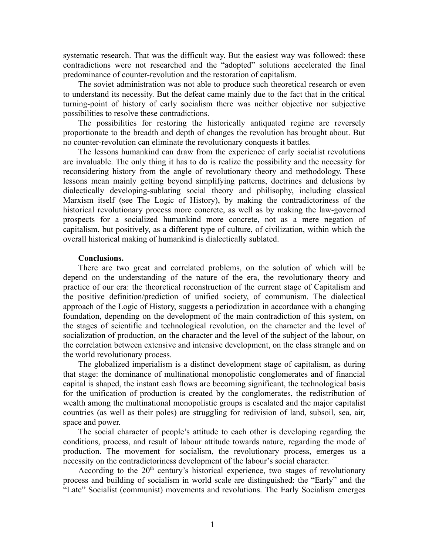systematic research. That was the difficult way. But the easiest way was followed: these contradictions were not researched and the "adopted" solutions accelerated the final predominance of counter-revolution and the restoration of capitalism.

The soviet administration was not able to produce such theoretical research or even to understand its necessity. But the defeat came mainly due to the fact that in the critical turning-point of history of early socialism there was neither objective nor subjective possibilities to resolve these contradictions.

The possibilities for restoring the historically antiquated regime are reversely proportionate to the breadth and depth of changes the revolution has brought about. But no counter-revolution can eliminate the revolutionary conquests it battles.

The lessons humankind can draw from the experience of early socialist revolutions are invaluable. The only thing it has to do is realize the possibility and the necessity for reconsidering history from the angle of revolutionary theory and methodology. These lessons mean mainly getting beyond simplifying patterns, doctrines and delusions by dialectically developing-sublating social theory and philisophy, including classical Marxism itself (see The Logic of History), by making the contradictoriness of the historical revolutionary process more concrete, as well as by making the law-governed prospects for a socialized humankind more concrete, not as a mere negation of capitalism, but positively, as a different type of culture, of civilization, within which the overall historical making of humankind is dialectically sublated.

## **Conclusions.**

There are two great and correlated problems, on the solution of which will be depend on the understanding of the nature of the era, the revolutionary theory and practice of our era: the theoretical reconstruction of the current stage of Capitalism and the positive definition/prediction of unified society, of communism. The dialectical approach of the Logic of History, suggests a periodization in accordance with a changing foundation, depending on the development of the main contradiction of this system, on the stages of scientific and technological revolution, on the character and the level of socialization of production, on the character and the level of the subject of the labour, on the correlation between extensive and intensive development, on the class strangle and on the world revolutionary process.

The globalized imperialism is a distinct development stage of capitalism, as during that stage: the dominance of multinational monopolistic conglomerates and of financial capital is shaped, the instant cash flows are becoming significant, the technological basis for the unification of production is created by the conglomerates, the redistribution of wealth among the multinational monopolistic groups is escalated and the major capitalist countries (as well as their poles) are struggling for redivision of land, subsoil, sea, air, space and power.

The social character of people's attitude to each other is developing regarding the conditions, process, and result of labour attitude towards nature, regarding the mode of production. The movement for socialism, the revolutionary process, emerges us a necessity on the contradictoriness development of the labour's social character.

According to the  $20<sup>th</sup>$  century's historical experience, two stages of revolutionary process and building of socialism in world scale are distinguished: the "Early" and the "Late" Socialist (communist) movements and revolutions. The Early Socialism emerges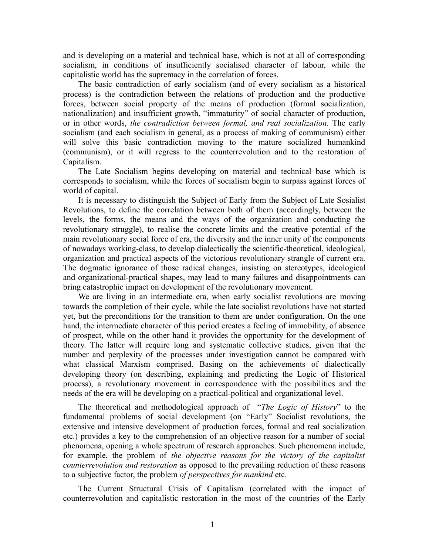and is developing on a material and technical base, which is not at all of corresponding socialism, in conditions of insufficiently socialised character of labour, while the capitalistic world has the supremacy in the correlation of forces.

The basic contradiction of early socialism (and of every socialism as a historical process) is the contradiction between the relations of production and the productive forces, between social property of the means of production (formal socialization, nationalization) and insufficient growth, "immaturity" of social character of production, or in other words, *the contradiction between formal, and real socialization.* The early socialism (and each socialism in general, as a process of making of communism) either will solve this basic contradiction moving to the mature socialized humankind (communism), or it will regress to the counterrevolution and to the restoration of Capitalism.

The Late Socialism begins developing on material and technical base which is corresponds to socialism, while the forces of socialism begin to surpass against forces of world of capital.

It is necessary to distinguish the Subject of Early from the Subject of Late Sosialist Revolutions, to define the correlation between both of them (accordingly, between the levels, the forms, the means and the ways of the organization and conducting the revolutionary struggle), to realise the concrete limits and the creative potential of the main revolutionary social force of era, the diversity and the inner unity of the components of nowadays working-class, to develop dialectically the scientific-theoretical, ideological, organization and practical aspects of the victorious revolutionary strangle of current era. The dogmatic ignorance of those radical changes, insisting on stereotypes, ideological and organizational-practical shapes, may lead to many failures and disappointments can bring catastrophic impact on development of the revolutionary movement.

We are living in an intermediate era, when early socialist revolutions are moving towards the completion of their cycle, while the late socialist revolutions have not started yet, but the preconditions for the transition to them are under configuration. On the one hand, the intermediate character of this period creates a feeling of immobility, of absence of prospect, while on the other hand it provides the opportunity for the development of theory. The latter will require long and systematic collective studies, given that the number and perplexity of the processes under investigation cannot be compared with what classical Marxism comprised. Basing on the achievements of dialectically developing theory (on describing, explaining and predicting the Logic of Historical process), a revolutionary movement in correspondence with the possibilities and the needs of the era will be developing on a practical-political and organizational level.

The theoretical and methodological approach of "*The Logic of History*" to the fundamental problems of social development (on "Early" Socialist revolutions, the extensive and intensive development of production forces, formal and real socialization etc.) provides a key to the comprehension of an objective reason for a number of social phenomena, opening a whole spectrum of research approaches. Such phenomena include, for example, the problem of *the objective reasons for the victory of the capitalist counterrevolution and restoration* as opposed to the prevailing reduction of these reasons to a subjective factor, the problem *of perspectives for mankind* etc.

The Current Structural Crisis of Capitalism (correlated with the impact of counterrevolution and capitalistic restoration in the most of the countries of the Early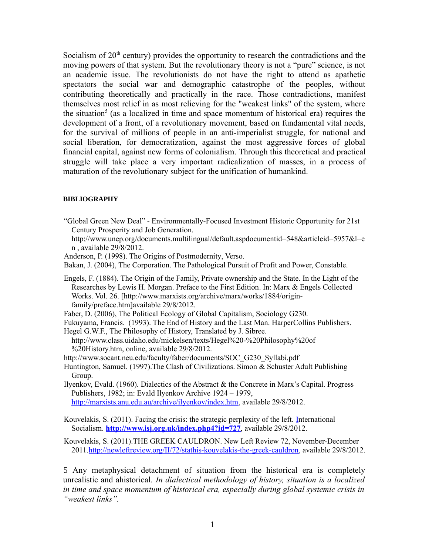Socialism of  $20<sup>th</sup>$  century) provides the opportunity to research the contradictions and the moving powers of that system. But the revolutionary theory is not a "pure" science, is not an academic issue. The revolutionists do not have the right to attend as apathetic spectators the social war and demographic catastrophe of the peoples, without contributing theoretically and practically in the race. Those contradictions, manifest themselves most relief in as most relieving for the "weakest links" of the system, where the situation<sup>[5](#page-16-0)</sup> (as a localized in time and space momentum of historical era) requires the development of a front, of a revolutionary movement, based on fundamental vital needs, for the survival of millions of people in an anti-imperialist struggle, for national and social liberation, for democratization, against the most aggressive forces of global financial capital, against new forms of colonialism. Through this theoretical and practical struggle will take place a very important radicalization of masses, in a process of maturation of the revolutionary subject for the unification of humankind.

#### **BIBLIOGRAPHY**

- "Global Green New Deal" Environmentally-Focused Investment Historic Opportunity for 21st Century Prosperity and Job Generation.
	- http://www.unep.org/documents.multilingual/default.aspdocumentid=548&articleid=5957&l=e n , available 29/8/2012.

Anderson, P. (1998). The Origins of Postmodernity, Verso.

Bakan, J. (2004), The Corporation. The Pathological Pursuit of Profit and Power, Constable.

Engels, F. (1884). The Origin of the Family, Private ownership and the State. In the Light of the Researches by Lewis H. Morgan. Preface to the First Edition. In: Marx & Engels Collected Works. Vol. 26. [http://www.marxists.org/archive/marx/works/1884/originfamily/preface.htm]available 29/8/2012.

Faber, D. (2006), The Political Ecology of Global Capitalism, Sociology G230.

Fukuyama, Francis. (1993). The End of History and the Last Man. HarperCollins Publishers.

Hegel G.W.F., The Philosophy of History, Translated by J. Sibree. http://www.class.uidaho.edu/mickelsen/texts/Hegel%20-%20Philosophy%20of %20History.htm, online, available 29/8/2012.

http://www.socant.neu.edu/faculty/faber/documents/SOC\_G230\_Syllabi.pdf

Huntington, Samuel. (1997).The Clash of Civilizations. Simon & Schuster Adult Publishing Group.

Ilyenkov, Evald. (1960). Dialectics of the Abstract & the Concrete in Marx's Capital. Progress Publishers, 1982; in: Evald Ilyenkov Archive 1924 – 1979, [http://marxists.anu.edu.au/archive/ilyenkov/index.htm,](http://marxists.anu.edu.au/archive/ilyenkov/index.htm) available 29/8/2012.

Kouvelakis, S. (2011). Facing the crisis: the strategic perplexity of the left. [In](http://www.google.com/url?sa=t&rct=j&q=kouvelakis&source=web&cd=9&cad=rja&ved=0CFoQFjAI&url=http%3A%2F%2Fwww.isj.org.uk%2Findex.php4%3Fid%3D727&ei=TFU9UMH_AdSHhQe174G4AQ&usg=AFQjCNHKDvneJvZ-pL_PTSYrjQAJjkp9nA)ternational Socialism. **<http://www.isj.org.uk/index.php4?id=727>**, available 29/8/2012.

Kouvelakis, S. (2011).THE GREEK CAULDRON. New Left Review 72, November-December 2011[.http://newleftreview.org/II/72/stathis-kouvelakis-the-greek-cauldron,](http://newleftreview.org/II/72/stathis-kouvelakis-the-greek-cauldron) available 29/8/2012.

<span id="page-16-0"></span>5 Any metaphysical detachment of situation from the historical era is completely unrealistic and ahistorical. *In dialectical methodology of history, situation is a localized in time and space momentum of historical era, especially during global systemic crisis in "weakest links".*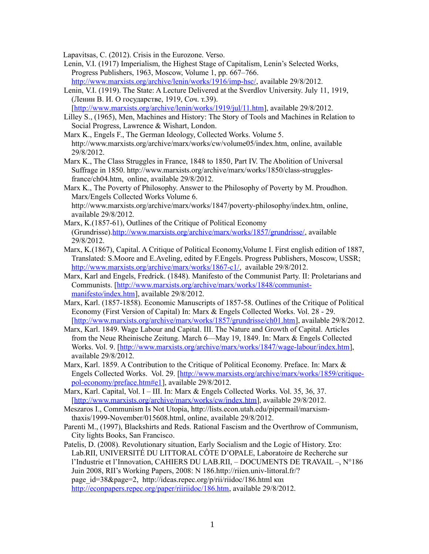Lapavitsas, C. (2012). Crisis in the Eurozone. Verso.

- Lenin, V.I. (1917) Imperialism, the Highest Stage of Capitalism, Lenin's Selected Works, Progress Publishers, 1963, Moscow, Volume 1, pp. 667–766. [http://www.marxists.org/archive/lenin/works/1916/imp-hsc/,](http://www.marxists.org/archive/lenin/works/1916/imp-hsc/) available 29/8/2012.
- Lenin, V.I. (1919). The State: A Lecture Delivered at the Sverdlov University. July 11, 1919, (Ленин В. И. О государстве, 1919, Соч. т.39).

[http://www.marxists.org/archive/lenin/works/1919/jul/11.htm], available 29/8/2012.

- Lilley S., (1965), Men, Machines and History: The Story of Tools and Machines in Relation to Social Progress, Lawrence & Wishart, London.
- Marx K., Engels F., The German Ideology, Collected Works. Volume 5. http://www.marxists.org/archive/marx/works/cw/volume05/index.htm, online, available 29/8/2012.
- Marx K., The Class Struggles in France, 1848 to 1850, Part IV. The Abolition of Universal Suffrage in 1850. http://www.marxists.org/archive/marx/works/1850/class-strugglesfrance/ch04.htm, online, available 29/8/2012.
- Marx K., The Poverty of Philosophy. Answer to the Philosophy of Poverty by M. Proudhon. Marx/Engels Collected Works Volume 6.

http://www.marxists.org/archive/marx/works/1847/poverty-philosophy/index.htm, online, available 29/8/2012.

- Marx, K.(1857-61), Outlines of the Critique of Political Economy (Grundrisse)[.http://www.marxists.org/archive/marx/works/1857/grundrisse/,](http://www.marxists.org/archive/marx/works/1857/grundrisse/) available 29/8/2012.
- Marx, K.(1867), Capital. A Critique of Political Economy,Volume I. First english edition of 1887, Translated: S.Moore and E.Aveling, edited by F.Engels. Progress Publishers, Moscow, USSR; [http://www.marxists.org/archive/marx/works/1867-c1/,](http://www.marxists.org/archive/marx/works/1867-c1/) available 29/8/2012.
- Marx, Karl and Engels, Fredrick. (1848). Manifesto of the Communist Party. II: Proletarians and Communists. [\[http://www.marxists.org/archive/marx/works/1848/communist](http://www.marxists.org/archive/marx/works/1848/communist-manifesto/index.htm)[manifesto/index.htm\]](http://www.marxists.org/archive/marx/works/1848/communist-manifesto/index.htm), available 29/8/2012.
- Marx, Karl. (1857-1858). Economic Manuscripts of 1857-58. Outlines of the Critique of Political Economy (First Version of Capital) In: Marx & Engels Collected Works. Vol. 28 - 29. [\[http://www.marxists.org/archive/marx/works/1857/grundrisse/ch01.htm\]](http://www.marxists.org/archive/marx/works/1857/grundrisse/ch01.htm), available 29/8/2012.
- Marx, Karl. 1849. Wage Labour and Capital. III. The Nature and Growth of Capital. Articles from the Neue Rheinische Zeitung. March 6—May 19, 1849. In: Marx & Engels Collected Works. Vol. 9. [\[http://www.marxists.org/archive/marx/works/1847/wage-labour/index.htm\]](http://www.marxists.org/archive/marx/works/1847/wage-labour/index.htm), available 29/8/2012.
- Marx, Karl. 1859. A Contribution to the Critique of Political Economy. Preface. In: Marx & Engels Collected Works. Vol. 29. [\[http://www.marxists.org/archive/marx/works/1859/critique](http://www.marxists.org/archive/marx/works/1859/critique-pol-economy/preface.htm#e1)[pol-economy/preface.htm#e1\]](http://www.marxists.org/archive/marx/works/1859/critique-pol-economy/preface.htm#e1), available 29/8/2012.
- Marx, Karl. Capital, Vol. I III. In: Marx & Engels Collected Works. Vol. 35, 36, 37. [\[http://www.marxists.org/archive/marx/works/cw/index.htm\]](http://www.marxists.org/archive/marx/works/cw/index.htm), available 29/8/2012.
- Meszaros I., Communism Is Not Utopia, http://lists.econ.utah.edu/pipermail/marxismthaxis/1999-November/015608.html, online, available 29/8/2012.
- Parenti M., (1997), Blackshirts and Reds. Rational Fascism and the Overthrow of Communism, City lights Books, San Francisco.
- Patelis, D. (2008). Revolutionary situation, Early Socialism and the Logic of History. Στο: Lab.RII, UNIVERSITÉ DU LITTORAL CÔTE D'OPALE, Laboratoire de Recherche sur l'Industrie et l'Innovation, CAHIERS DU LAB.RII, – DOCUMENTS DE TRAVAIL –, N°186 Juin 2008, RII's Working Papers, 2008: N 186.http://riien.univ-littoral.fr/? page\_id=38&page=2, http://ideas.repec.org/p/rii/riidoc/186.html και [http://econpapers.repec.org/paper/riiriidoc/186.htm,](http://econpapers.repec.org/paper/riiriidoc/186.htm) available 29/8/2012.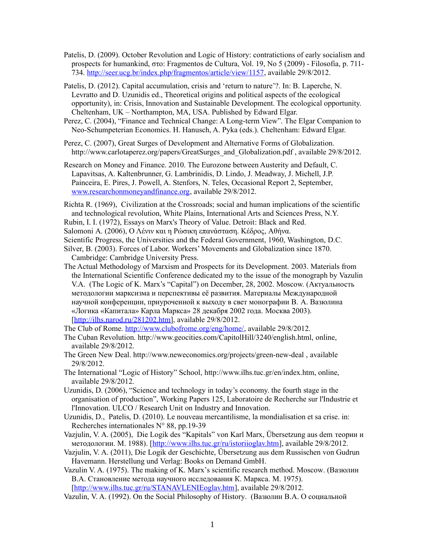- Patelis, D. (2009). October Revolution and Logic of History: contratictions of early socialism and prospects for humankind, στο: Fragmentos de Cultura, Vol. 19, No 5 (2009) - Filosofia, p. 711- 734. [http://seer.ucg.br/index.php/fragmentos/article/view/1157,](http://seer.ucg.br/index.php/fragmentos/article/view/1157) available 29/8/2012.
- Patelis, D. (2012). Capital accumulation, crisis and 'return to nature'?. In: B. Laperche, N. Levratto and D. Uzunidis ed., Theoretical origins and political aspects of the ecological opportunity), in: Crisis, Innovation and Sustainable Development. The ecological opportunity. Cheltenham, UK – Northampton, MA, USA. Published by Edward Elgar.
- Perez, C. (2004), "Finance and Technical Change: A Long-term View". The Elgar Companion to Neo-Schumpeterian Economics. H. Hanusch, A. Pyka (eds.). Cheltenham: Edward Elgar.
- Perez, C. (2007), Great Surges of Development and Alternative Forms of Globalization. http://www.carlotaperez.org/papers/GreatSurges\_and\_Globalization.pdf, available 29/8/2012.
- Research on Money and Finance. 2010. The Eurozone between Austerity and Default, C. Lapavitsas, A. Kaltenbrunner, G. Lambrinidis, D. Lindo, J. Meadway, J. Michell, J.P. Painceira, E. Pires, J. Powell, A. Stenfors, N. Teles, Occasional Report 2, September, [www.researchonmoneyandfinance.org,](http://www.researchonmoneyandfinance.org/) available 29/8/2012.
- Richta R. (1969), Civilization at the Crossroads; social and human implications of the scientific and technological revolution, White Plains, International Arts and Sciences Press, N.Y.
- Rubin, I. I. (1972), Essays on Marx's Theory of Value. Detroit: Black and Red.
- Salomoni A. (2006), Ο Λένιν και η Ρώσικη επανάσταση. Κέδρος, Αθήνα.
- Scientific Progress, the Universities and the Federal Government, 1960, Washington, D.C.
- Silver, B. (2003). Forces of Labor. Workers' Movements and Globalization since 1870. Cambridge: Cambridge University Press.
- The Actual Methodology of Marxism and Prospects for its Development. 2003. Materials from the International Scientific Conference dedicated my to the issue of the monograph by Vazulin V.A. (The Logic of K. Marx's "Capital") on December, 28, 2002. Moscow. (Актуальность методологии марксизма и перспективы её развития. Материалы Международной научной конференции, приуроченной к выходу в свет монографии В. А. Вазюлина «Логика «Капитала» Карла Маркса» 28 декабря 2002 года. Москва 2003). [\[http://ilhs.narod.ru/281202.htm\]](http://ilhs.narod.ru/281202.htm), available 29/8/2012.

The Club of Rome. [http://www.clubofrome.org/eng/home/,](http://www.clubofrome.org/eng/home/) available 29/8/2012.

- The Cuban Revolution. http://www.geocities.com/CapitolHill/3240/english.html, online, available 29/8/2012.
- The Green New Deal. http://www.neweconomics.org/projects/green-new-deal , available 29/8/2012.
- The International "Logic of History" School, http://www.ilhs.tuc.gr/en/index.htm, online, available 29/8/2012.
- Uzunidis, D. (2006), "Science and technology in today's economy. the fourth stage in the organisation of production", Working Papers 125, Laboratoire de Recherche sur l'Industrie et l'Innovation. ULCO / Research Unit on Industry and Innovation.
- Uzunidis, D., Patelis, D. (2010). Le nouveau mercantilisme, la mondialisation et sa crise. in: Recherches internationales N° 88, pp.19-39
- Vazjulin, V. A. (2005), Die Logik des "Kapitals" von Karl Marx, Übersetzung aus dem теории и методологии. М. 1988). [\[http://www.ilhs.tuc.gr/ru/istoriioglav.htm\]](http://www.ilhs.tuc.gr/ru/istoriioglav.htm), available 29/8/2012.
- Vazjulin, V. A. (2011), Die Logik der Geschichte, Übersetzung aus dem Russischen von Gudrun Havemann. Herstellung und Verlag: Books on Demand GmbH.
- Vazulin V. A. (1975). The making of K. Marx's scientific research method. Moscow. (Вазюлин В.А. Становление метода научного исследования К. Маркса. М. 1975). [\[http://www.ilhs.tuc.gr/ru/STANAVLENIEoglav.htm\]](http://www.ilhs.tuc.gr/ru/STANAVLENIEoglav.htm), available 29/8/2012.
- Vazulin, V. A. (1992). On the Social Philosophy of History. (Вазюлин В.А. О социальной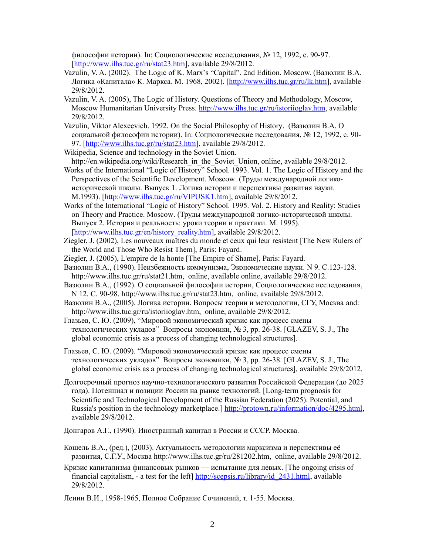философии истории). In: Социологические исследования, № 12, 1992, с. 90-97. [http://www.ilhs.tuc.gr/ru/stat23.htm], available 29/8/2012.

- Vazulin, V. A. (2002). The Logic of K. Marx's "Capital". 2nd Edition. Moscow. (Вазюлин В.А. Логика «Капитала» К. Маркса. М. 1968, 2002). [\[http://www.ilhs.tuc.gr/ru/lk.htm\]](http://www.ilhs.tuc.gr/ru/lk.htm), available 29/8/2012.
- Vazulin, V. A. (2005), The Logic of History. Questions of Theory and Methodology, Moscow, Moscow Humanitarian University Press. [http://www.ilhs.tuc.gr/ru/istoriioglav.htm,](http://www.ilhs.tuc.gr/ru/istoriioglav.htm) available 29/8/2012.
- Vazulin, Viktor Alexeevich. 1992. On the Social Philosophy of History. (Вазюлин В.А. О социальной философии истории). In: Социологические исследования, № 12, 1992, с. 90- 97. [\[http://www.ilhs.tuc.gr/ru/stat23.htm\]](http://www.ilhs.tuc.gr/ru/stat23.htm), available 29/8/2012.
- Wikipedia, Science and technology in the Soviet Union.
- http://en.wikipedia.org/wiki/Research\_in\_the\_Soviet\_Union, online, available 29/8/2012. Works of the International "Logic of History" School. 1993. Vol. 1. The Logic of History and the Perspectives of the Scientific Development. Moscow. (Труды международной логико-

исторической школы. Выпуск 1. Логика истории и перспективы развития науки. M.1993). [\[http://www.ilhs.tuc.gr/ru/VIPUSK1.htm\]](http://www.ilhs.tuc.gr/ru/VIPUSK1.htm), available 29/8/2012.

- Works of the International "Logic of History" School. 1995. Vol. 2. History and Reality: Studies on Theory and Practice. Moscow. (Труды международной логико-исторической школы. Выпуск 2. История и реальность: уроки теории и практики. М. 1995). [\[http://www.ilhs.tuc.gr/en/history\\_reality.htm\]](http://www.ilhs.tuc.gr/en/history_reality.htm), available 29/8/2012.
- Ziegler, J. (2002), Les nouveaux maîtres du monde et ceux qui leur resistent [The New Rulers of the World and Those Who Resist Them], Paris: Fayard.
- Ziegler, J. (2005), L'empire de la honte [The Empire of Shame], Paris: Fayard.
- Вазюлин В.А., (1990). Неизбежность коммунизма, Экономические науки. N 9. С.123-128. http://www.ilhs.tuc.gr/ru/stat21.htm, online, available online, available 29/8/2012.
- Вазюлин В.А., (1992). О социальной философии истории, Социологические исследования, N 12. С. 90-98. http://www.ilhs.tuc.gr/ru/stat23.htm, online, available 29/8/2012.
- Вазюлин В.А., (2005). Логика истории. Вопросы теории и методологии, СГУ, Москва and: http://www.ilhs.tuc.gr/ru/istoriioglav.htm, online, available 29/8/2012.
- Глазьев, С. Ю. (2009), "Мировой экономический кризис как процесс смены технологических укладов" Вопросы экономики, № 3, pp. 26-38. [GLAZEV, S. J., The global economic crisis as a process of changing technological structures].

Глазьев, С. Ю. (2009). "Мировой экономический кризис как процесс смены технологических укладов" Вопросы экономики, № 3, pp. 26-38. [GLAZEV, S. J., The global economic crisis as a process of changing technological structures], available 29/8/2012.

Долгосрочный прогноз научно-технологического развития Российской Федерации (до 2025 года). Потенциал и позиции России на рынке технологий. [Long-term prognosis for Scientific and Technological Development of the Russian Federation (2025). Potential, and Russia's position in the technology marketplace.] [http://protown.ru/information/doc/4295.html,](http://protown.ru/information/doc/4295.html) available 29/8/2012.

Донгаров А.Г., (1990). Иностранный капитал в России и СССР. Москва.

- Кошель В.А., (ред.), (2003). Актуальность методологии марксизма и перспективы её развития, С.Г.У., Москва http://www.ilhs.tuc.gr/ru/281202.htm, online, available 29/8/2012.
- Кризис капитализма финансовых рынков испытание для левых. [The ongoing crisis of financial capitalism, - a test for the left] [http://scepsis.ru/library/id\\_2431.html,](http://scepsis.ru/library/id_2431.html) available 29/8/2012.

Ленин В.И., 1958-1965, Полное Собрание Сочинений, т. 1-55. Москва.